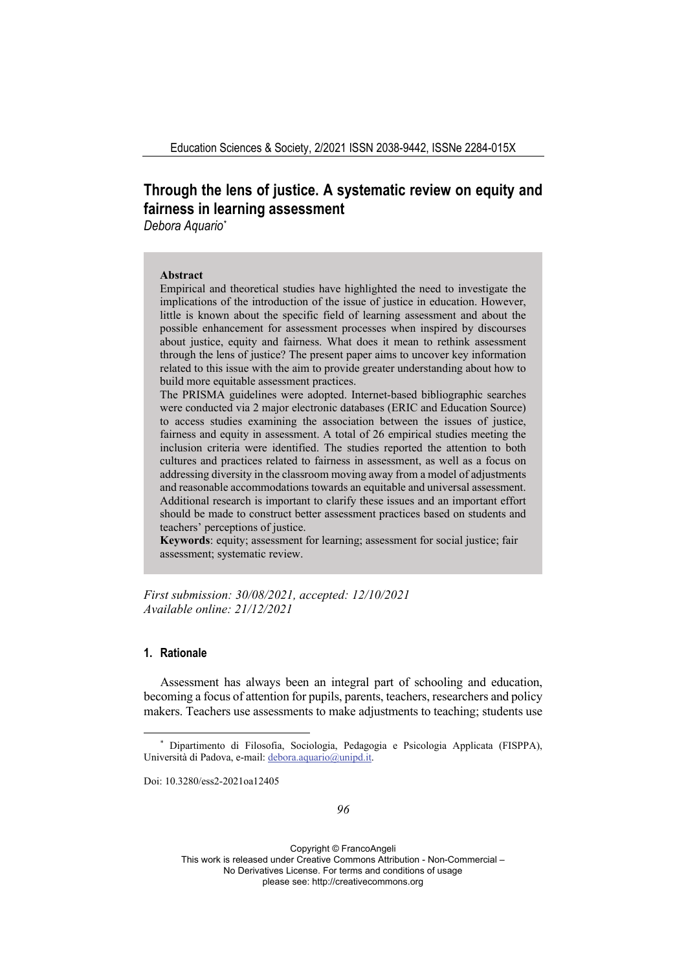# **Through the lens of justice. A systematic review on equity and fairness in learning assessment**

*Debora Aquario\**

#### **Abstract**

Empirical and theoretical studies have highlighted the need to investigate the implications of the introduction of the issue of justice in education. However, little is known about the specific field of learning assessment and about the possible enhancement for assessment processes when inspired by discourses about justice, equity and fairness. What does it mean to rethink assessment through the lens of justice? The present paper aims to uncover key information related to this issue with the aim to provide greater understanding about how to build more equitable assessment practices.

The PRISMA guidelines were adopted. Internet-based bibliographic searches were conducted via 2 major electronic databases (ERIC and Education Source) to access studies examining the association between the issues of justice, fairness and equity in assessment. A total of 26 empirical studies meeting the inclusion criteria were identified. The studies reported the attention to both cultures and practices related to fairness in assessment, as well as a focus on addressing diversity in the classroom moving away from a model of adjustments and reasonable accommodations towards an equitable and universal assessment. Additional research is important to clarify these issues and an important effort should be made to construct better assessment practices based on students and teachers' perceptions of justice.

**Keywords**: equity; assessment for learning; assessment for social justice; fair assessment; systematic review.

*First submission: 30/08/2021, accepted: 12/10/2021 Available online: 21/12/2021*

# **1. Rationale**

Assessment has always been an integral part of schooling and education, becoming a focus of attention for pupils, parents, teachers, researchers and policy makers. Teachers use assessments to make adjustments to teaching; students use

Doi: 10.3280/ess2-2021oa12405

<sup>\*</sup> Dipartimento di Filosofia, Sociologia, Pedagogia e Psicologia Applicata (FISPPA), Università di Padova, e-mail: debora.aquario@unipd.it.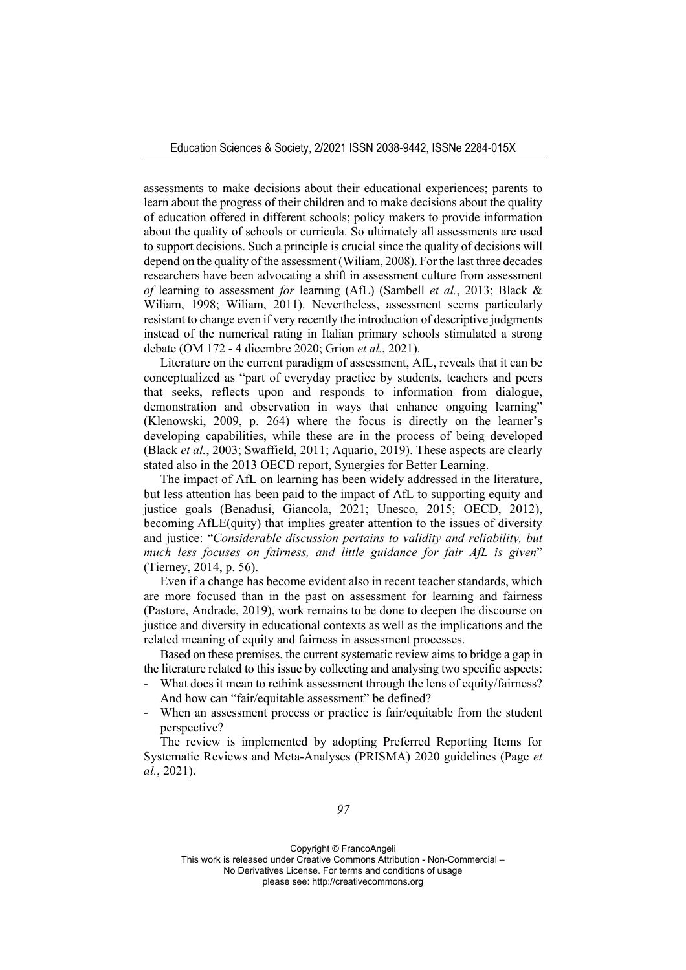assessments to make decisions about their educational experiences; parents to learn about the progress of their children and to make decisions about the quality of education offered in different schools; policy makers to provide information about the quality of schools or curricula. So ultimately all assessments are used to support decisions. Such a principle is crucial since the quality of decisions will depend on the quality of the assessment (Wiliam, 2008). For the last three decades researchers have been advocating a shift in assessment culture from assessment *of* learning to assessment *for* learning (AfL) (Sambell *et al.*, 2013; Black & Wiliam, 1998; Wiliam, 2011). Nevertheless, assessment seems particularly resistant to change even if very recently the introduction of descriptive judgments instead of the numerical rating in Italian primary schools stimulated a strong debate (OM 172 - 4 dicembre 2020; Grion *et al.*, 2021).

Literature on the current paradigm of assessment, AfL, reveals that it can be conceptualized as "part of everyday practice by students, teachers and peers that seeks, reflects upon and responds to information from dialogue, demonstration and observation in ways that enhance ongoing learning" (Klenowski, 2009, p. 264) where the focus is directly on the learner's developing capabilities, while these are in the process of being developed (Black *et al.*, 2003; Swaffield, 2011; Aquario, 2019). These aspects are clearly stated also in the 2013 OECD report, Synergies for Better Learning.

The impact of AfL on learning has been widely addressed in the literature, but less attention has been paid to the impact of AfL to supporting equity and justice goals (Benadusi, Giancola, 2021; Unesco, 2015; OECD, 2012), becoming AfLE(quity) that implies greater attention to the issues of diversity and justice: "*Considerable discussion pertains to validity and reliability, but much less focuses on fairness, and little guidance for fair AfL is given*" (Tierney, 2014, p. 56).

Even if a change has become evident also in recent teacher standards, which are more focused than in the past on assessment for learning and fairness (Pastore, Andrade, 2019), work remains to be done to deepen the discourse on justice and diversity in educational contexts as well as the implications and the related meaning of equity and fairness in assessment processes.

Based on these premises, the current systematic review aims to bridge a gap in the literature related to this issue by collecting and analysing two specific aspects:

- What does it mean to rethink assessment through the lens of equity/fairness? And how can "fair/equitable assessment" be defined?
- When an assessment process or practice is fair/equitable from the student perspective?

The review is implemented by adopting Preferred Reporting Items for Systematic Reviews and Meta-Analyses (PRISMA) 2020 guidelines (Page *et al.*, 2021).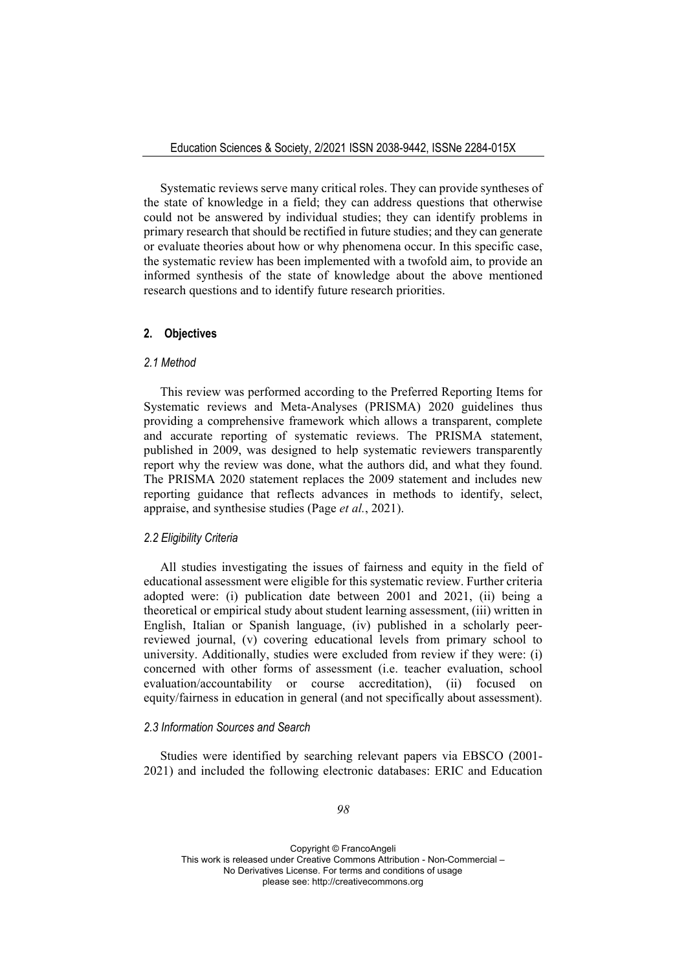Systematic reviews serve many critical roles. They can provide syntheses of the state of knowledge in a field; they can address questions that otherwise could not be answered by individual studies; they can identify problems in primary research that should be rectified in future studies; and they can generate or evaluate theories about how or why phenomena occur. In this specific case, the systematic review has been implemented with a twofold aim, to provide an informed synthesis of the state of knowledge about the above mentioned research questions and to identify future research priorities.

## **2. Objectives**

## *2.1 Method*

This review was performed according to the Preferred Reporting Items for Systematic reviews and Meta-Analyses (PRISMA) 2020 guidelines thus providing a comprehensive framework which allows a transparent, complete and accurate reporting of systematic reviews. The PRISMA statement, published in 2009, was designed to help systematic reviewers transparently report why the review was done, what the authors did, and what they found. The PRISMA 2020 statement replaces the 2009 statement and includes new reporting guidance that reflects advances in methods to identify, select, appraise, and synthesise studies (Page *et al.*, 2021).

## *2.2 Eligibility Criteria*

All studies investigating the issues of fairness and equity in the field of educational assessment were eligible for this systematic review. Further criteria adopted were: (i) publication date between 2001 and 2021, (ii) being a theoretical or empirical study about student learning assessment, (iii) written in English, Italian or Spanish language, (iv) published in a scholarly peerreviewed journal, (v) covering educational levels from primary school to university. Additionally, studies were excluded from review if they were: (i) concerned with other forms of assessment (i.e. teacher evaluation, school evaluation/accountability or course accreditation), (ii) focused on equity/fairness in education in general (and not specifically about assessment).

#### *2.3 Information Sources and Search*

Studies were identified by searching relevant papers via EBSCO (2001- 2021) and included the following electronic databases: ERIC and Education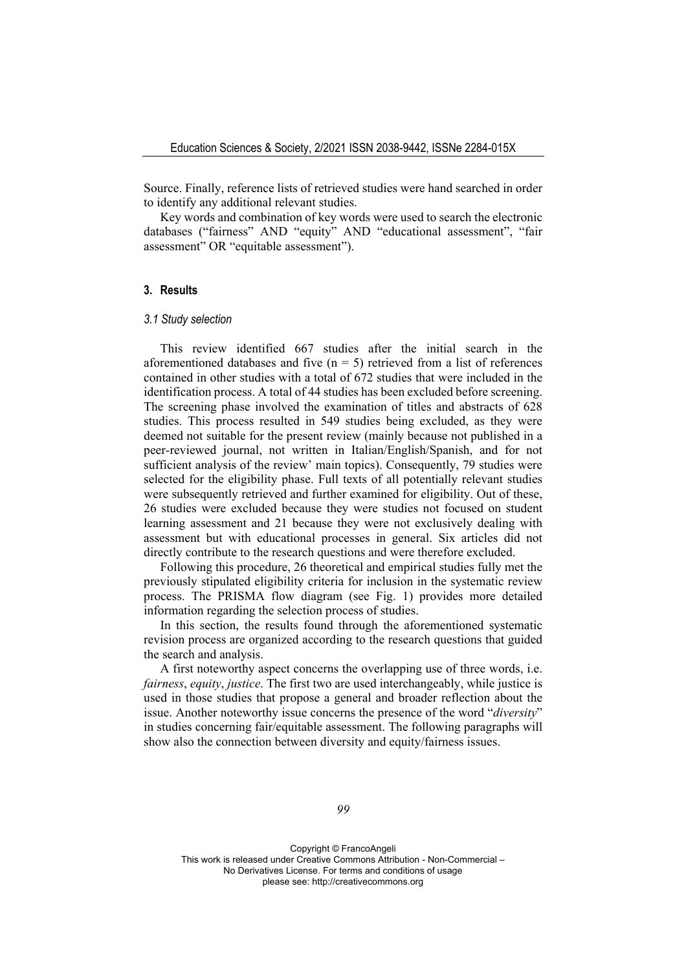Source. Finally, reference lists of retrieved studies were hand searched in order to identify any additional relevant studies.

Key words and combination of key words were used to search the electronic databases ("fairness" AND "equity" AND "educational assessment", "fair assessment" OR "equitable assessment").

#### **3. Results**

#### *3.1 Study selection*

This review identified 667 studies after the initial search in the aforementioned databases and five  $(n = 5)$  retrieved from a list of references contained in other studies with a total of 672 studies that were included in the identification process. A total of 44 studies has been excluded before screening. The screening phase involved the examination of titles and abstracts of 628 studies. This process resulted in 549 studies being excluded, as they were deemed not suitable for the present review (mainly because not published in a peer-reviewed journal, not written in Italian/English/Spanish, and for not sufficient analysis of the review' main topics). Consequently, 79 studies were selected for the eligibility phase. Full texts of all potentially relevant studies were subsequently retrieved and further examined for eligibility. Out of these, 26 studies were excluded because they were studies not focused on student learning assessment and 21 because they were not exclusively dealing with assessment but with educational processes in general. Six articles did not directly contribute to the research questions and were therefore excluded.

Following this procedure, 26 theoretical and empirical studies fully met the previously stipulated eligibility criteria for inclusion in the systematic review process. The PRISMA flow diagram (see Fig. 1) provides more detailed information regarding the selection process of studies.

In this section, the results found through the aforementioned systematic revision process are organized according to the research questions that guided the search and analysis.

A first noteworthy aspect concerns the overlapping use of three words, i.e. *fairness*, *equity*, *justice*. The first two are used interchangeably, while justice is used in those studies that propose a general and broader reflection about the issue. Another noteworthy issue concerns the presence of the word "*diversity*" in studies concerning fair/equitable assessment. The following paragraphs will show also the connection between diversity and equity/fairness issues.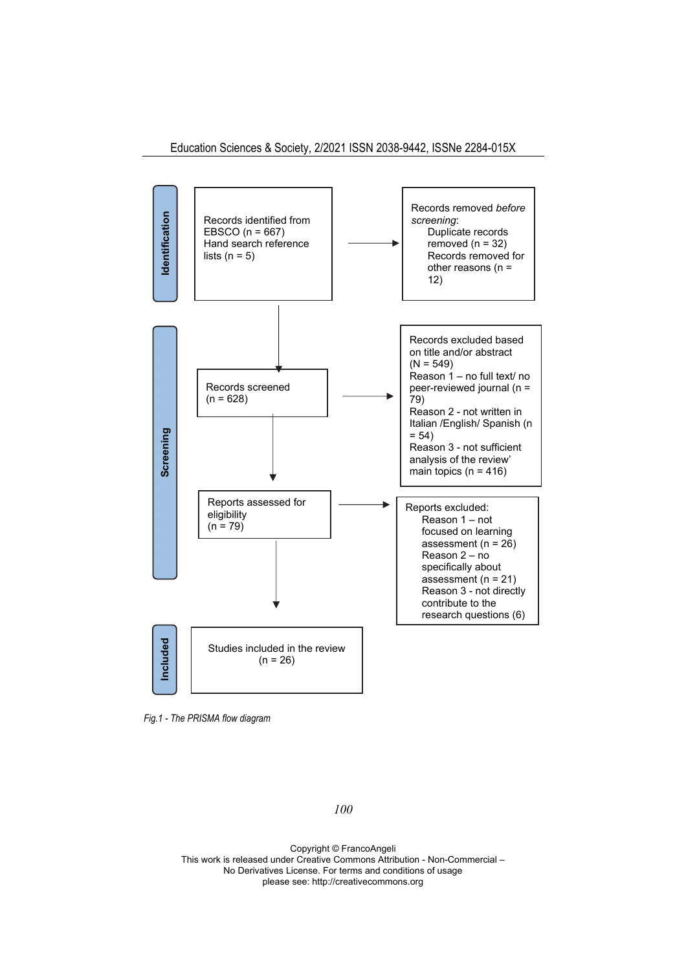

*Fig.1 - The PRISMA flow diagram* 

*100*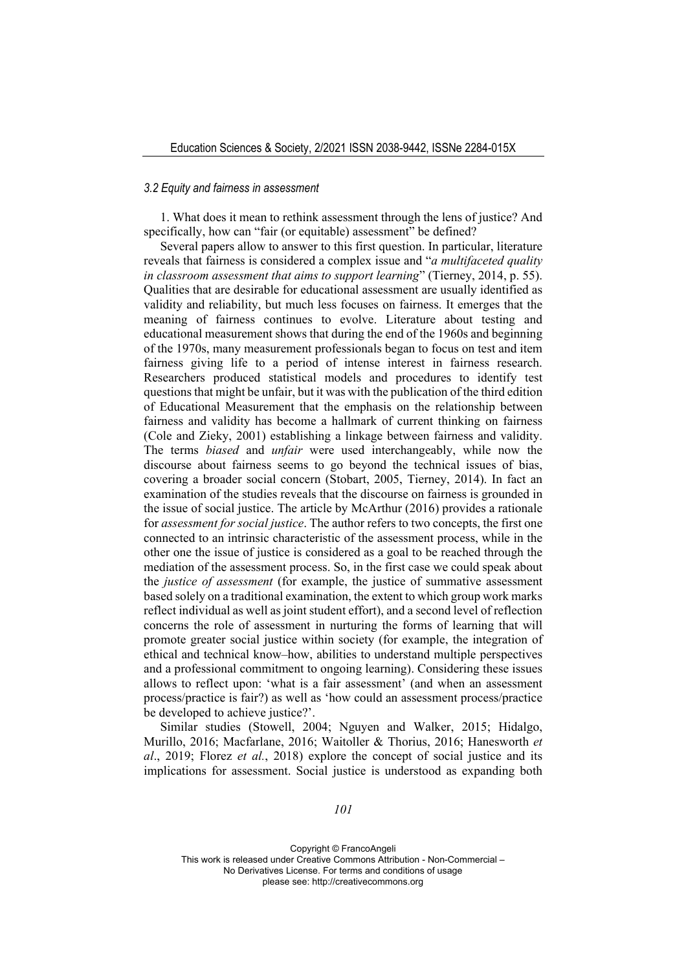#### *3.2 Equity and fairness in assessment*

1. What does it mean to rethink assessment through the lens of justice? And specifically, how can "fair (or equitable) assessment" be defined?

Several papers allow to answer to this first question. In particular, literature reveals that fairness is considered a complex issue and "*a multifaceted quality in classroom assessment that aims to support learning*" (Tierney, 2014, p. 55). Qualities that are desirable for educational assessment are usually identified as validity and reliability, but much less focuses on fairness. It emerges that the meaning of fairness continues to evolve. Literature about testing and educational measurement shows that during the end of the 1960s and beginning of the 1970s, many measurement professionals began to focus on test and item fairness giving life to a period of intense interest in fairness research. Researchers produced statistical models and procedures to identify test questions that might be unfair, but it was with the publication of the third edition of Educational Measurement that the emphasis on the relationship between fairness and validity has become a hallmark of current thinking on fairness (Cole and Zieky, 2001) establishing a linkage between fairness and validity. The terms *biased* and *unfair* were used interchangeably, while now the discourse about fairness seems to go beyond the technical issues of bias, covering a broader social concern (Stobart, 2005, Tierney, 2014). In fact an examination of the studies reveals that the discourse on fairness is grounded in the issue of social justice. The article by McArthur (2016) provides a rationale for *assessment for social justice*. The author refers to two concepts, the first one connected to an intrinsic characteristic of the assessment process, while in the other one the issue of justice is considered as a goal to be reached through the mediation of the assessment process. So, in the first case we could speak about the *justice of assessment* (for example, the justice of summative assessment based solely on a traditional examination, the extent to which group work marks reflect individual as well as joint student effort), and a second level of reflection concerns the role of assessment in nurturing the forms of learning that will promote greater social justice within society (for example, the integration of ethical and technical know–how, abilities to understand multiple perspectives and a professional commitment to ongoing learning). Considering these issues allows to reflect upon: 'what is a fair assessment' (and when an assessment process/practice is fair?) as well as 'how could an assessment process/practice be developed to achieve justice?'.

Similar studies (Stowell, 2004; Nguyen and Walker, 2015; Hidalgo, Murillo, 2016; Macfarlane, 2016; Waitoller & Thorius, 2016; Hanesworth *et al*., 2019; Florez *et al.*, 2018) explore the concept of social justice and its implications for assessment. Social justice is understood as expanding both

*101*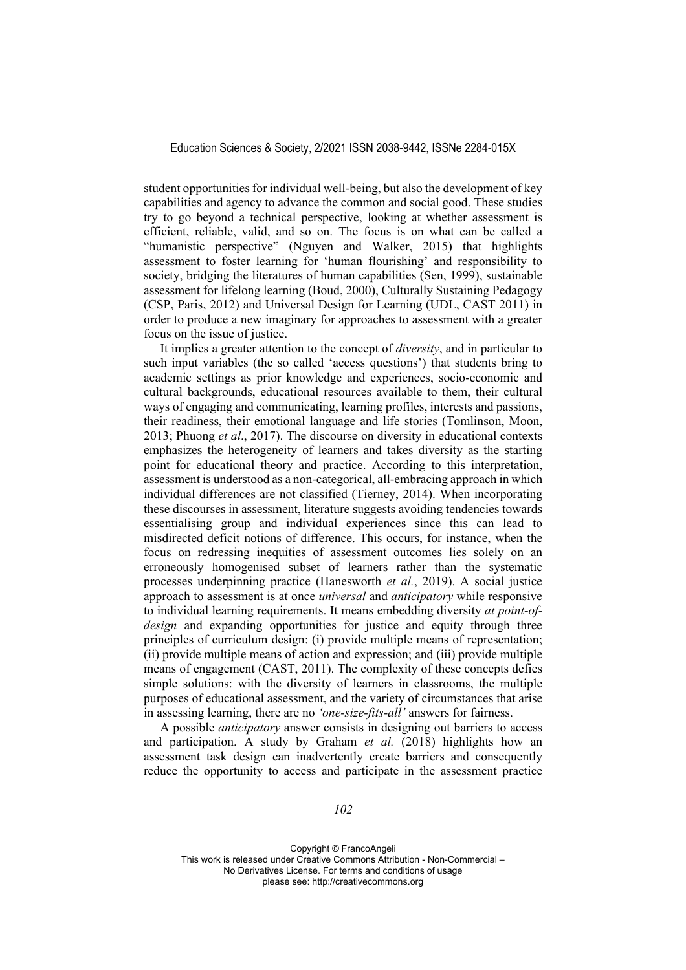student opportunities for individual well-being, but also the development of key capabilities and agency to advance the common and social good. These studies try to go beyond a technical perspective, looking at whether assessment is efficient, reliable, valid, and so on. The focus is on what can be called a "humanistic perspective" (Nguyen and Walker, 2015) that highlights assessment to foster learning for 'human flourishing' and responsibility to society, bridging the literatures of human capabilities (Sen, 1999), sustainable assessment for lifelong learning (Boud, 2000), Culturally Sustaining Pedagogy (CSP, Paris, 2012) and Universal Design for Learning (UDL, CAST 2011) in order to produce a new imaginary for approaches to assessment with a greater focus on the issue of justice.

It implies a greater attention to the concept of *diversity*, and in particular to such input variables (the so called 'access questions') that students bring to academic settings as prior knowledge and experiences, socio-economic and cultural backgrounds, educational resources available to them, their cultural ways of engaging and communicating, learning profiles, interests and passions, their readiness, their emotional language and life stories (Tomlinson, Moon, 2013; Phuong *et al*., 2017). The discourse on diversity in educational contexts emphasizes the heterogeneity of learners and takes diversity as the starting point for educational theory and practice. According to this interpretation, assessment is understood as a non-categorical, all-embracing approach in which individual differences are not classified (Tierney, 2014). When incorporating these discourses in assessment, literature suggests avoiding tendencies towards essentialising group and individual experiences since this can lead to misdirected deficit notions of difference. This occurs, for instance, when the focus on redressing inequities of assessment outcomes lies solely on an erroneously homogenised subset of learners rather than the systematic processes underpinning practice (Hanesworth *et al.*, 2019). A social justice approach to assessment is at once *universal* and *anticipatory* while responsive to individual learning requirements. It means embedding diversity *at point-ofdesign* and expanding opportunities for justice and equity through three principles of curriculum design: (i) provide multiple means of representation; (ii) provide multiple means of action and expression; and (iii) provide multiple means of engagement (CAST, 2011). The complexity of these concepts defies simple solutions: with the diversity of learners in classrooms, the multiple purposes of educational assessment, and the variety of circumstances that arise in assessing learning, there are no *'one-size-fits-all'* answers for fairness.

A possible *anticipatory* answer consists in designing out barriers to access and participation. A study by Graham *et al.* (2018) highlights how an assessment task design can inadvertently create barriers and consequently reduce the opportunity to access and participate in the assessment practice

*102*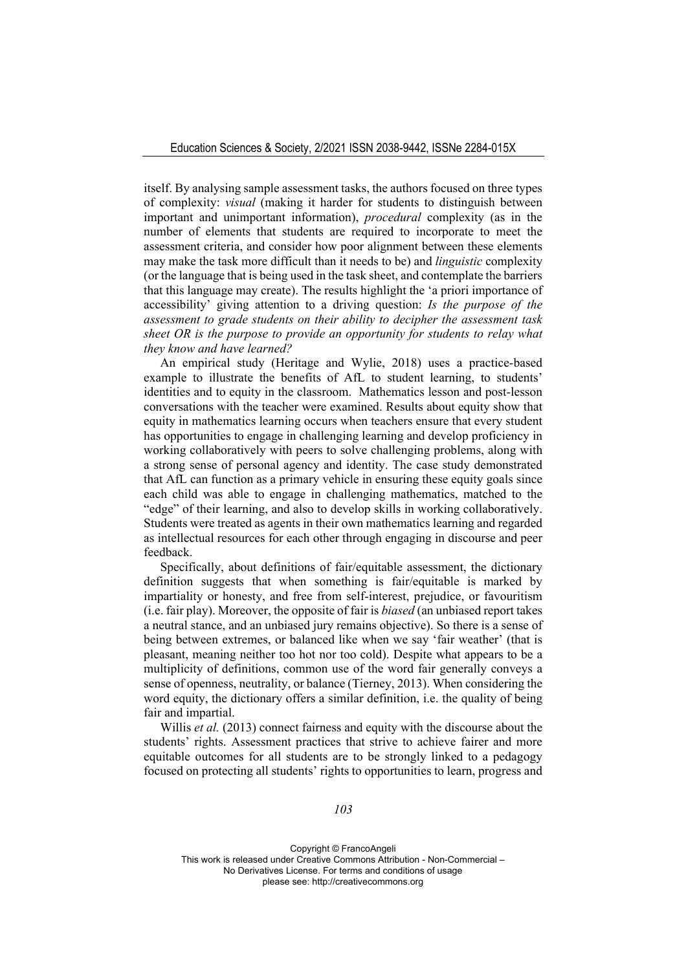itself. By analysing sample assessment tasks, the authors focused on three types of complexity: *visual* (making it harder for students to distinguish between important and unimportant information), *procedural* complexity (as in the number of elements that students are required to incorporate to meet the assessment criteria, and consider how poor alignment between these elements may make the task more difficult than it needs to be) and *linguistic* complexity (or the language that is being used in the task sheet, and contemplate the barriers that this language may create). The results highlight the 'a priori importance of accessibility' giving attention to a driving question: *Is the purpose of the assessment to grade students on their ability to decipher the assessment task sheet OR is the purpose to provide an opportunity for students to relay what they know and have learned?* 

An empirical study (Heritage and Wylie, 2018) uses a practice-based example to illustrate the benefits of AfL to student learning, to students' identities and to equity in the classroom. Mathematics lesson and post-lesson conversations with the teacher were examined. Results about equity show that equity in mathematics learning occurs when teachers ensure that every student has opportunities to engage in challenging learning and develop proficiency in working collaboratively with peers to solve challenging problems, along with a strong sense of personal agency and identity. The case study demonstrated that AfL can function as a primary vehicle in ensuring these equity goals since each child was able to engage in challenging mathematics, matched to the "edge" of their learning, and also to develop skills in working collaboratively. Students were treated as agents in their own mathematics learning and regarded as intellectual resources for each other through engaging in discourse and peer feedback.

Specifically, about definitions of fair/equitable assessment, the dictionary definition suggests that when something is fair/equitable is marked by impartiality or honesty, and free from self-interest, prejudice, or favouritism (i.e. fair play). Moreover, the opposite of fair is *biased* (an unbiased report takes a neutral stance, and an unbiased jury remains objective). So there is a sense of being between extremes, or balanced like when we say 'fair weather' (that is pleasant, meaning neither too hot nor too cold). Despite what appears to be a multiplicity of definitions, common use of the word fair generally conveys a sense of openness, neutrality, or balance (Tierney, 2013). When considering the word equity, the dictionary offers a similar definition, i.e. the quality of being fair and impartial.

Willis *et al.* (2013) connect fairness and equity with the discourse about the students' rights. Assessment practices that strive to achieve fairer and more equitable outcomes for all students are to be strongly linked to a pedagogy focused on protecting all students' rights to opportunities to learn, progress and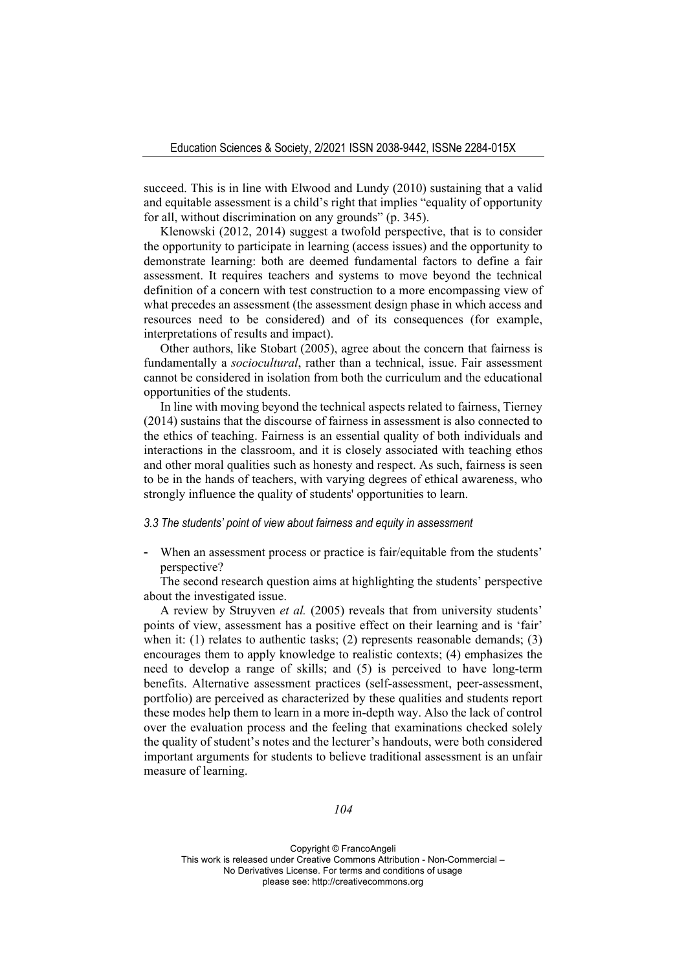succeed. This is in line with Elwood and Lundy (2010) sustaining that a valid and equitable assessment is a child's right that implies "equality of opportunity for all, without discrimination on any grounds" (p. 345).

Klenowski (2012, 2014) suggest a twofold perspective, that is to consider the opportunity to participate in learning (access issues) and the opportunity to demonstrate learning: both are deemed fundamental factors to define a fair assessment. It requires teachers and systems to move beyond the technical definition of a concern with test construction to a more encompassing view of what precedes an assessment (the assessment design phase in which access and resources need to be considered) and of its consequences (for example, interpretations of results and impact).

Other authors, like Stobart (2005), agree about the concern that fairness is fundamentally a *sociocultural*, rather than a technical, issue. Fair assessment cannot be considered in isolation from both the curriculum and the educational opportunities of the students.

In line with moving beyond the technical aspects related to fairness, Tierney (2014) sustains that the discourse of fairness in assessment is also connected to the ethics of teaching. Fairness is an essential quality of both individuals and interactions in the classroom, and it is closely associated with teaching ethos and other moral qualities such as honesty and respect. As such, fairness is seen to be in the hands of teachers, with varying degrees of ethical awareness, who strongly influence the quality of students' opportunities to learn.

#### *3.3 The students' point of view about fairness and equity in assessment*

- When an assessment process or practice is fair/equitable from the students' perspective?

The second research question aims at highlighting the students' perspective about the investigated issue.

A review by Struyven *et al.* (2005) reveals that from university students' points of view, assessment has a positive effect on their learning and is 'fair' when it: (1) relates to authentic tasks; (2) represents reasonable demands; (3) encourages them to apply knowledge to realistic contexts; (4) emphasizes the need to develop a range of skills; and (5) is perceived to have long-term benefits. Alternative assessment practices (self-assessment, peer-assessment, portfolio) are perceived as characterized by these qualities and students report these modes help them to learn in a more in-depth way. Also the lack of control over the evaluation process and the feeling that examinations checked solely the quality of student's notes and the lecturer's handouts, were both considered important arguments for students to believe traditional assessment is an unfair measure of learning.

*104*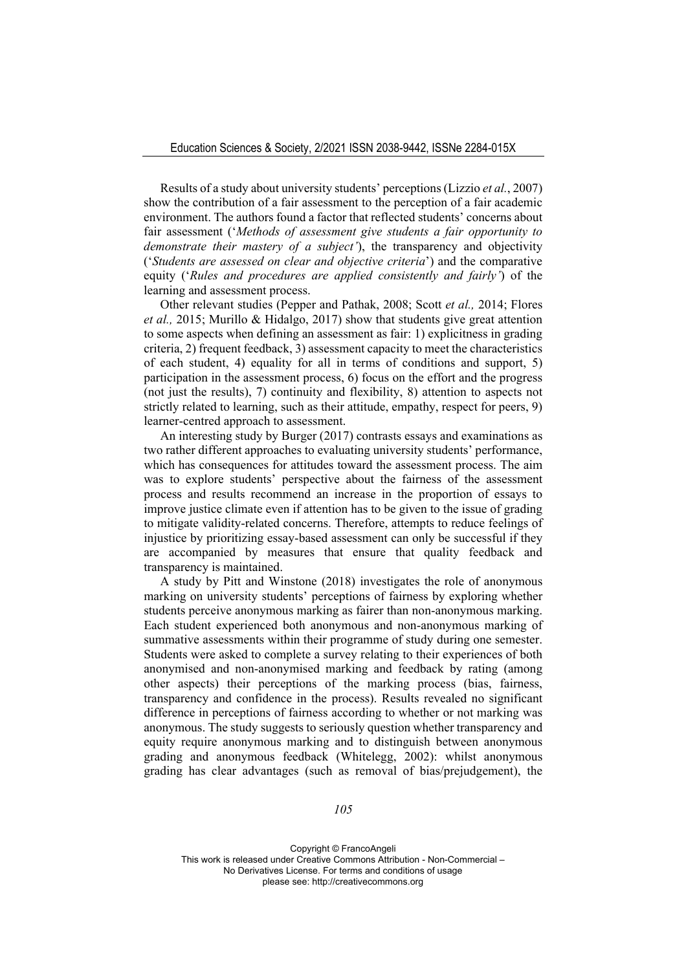Results of a study about university students' perceptions (Lizzio *et al.*, 2007) show the contribution of a fair assessment to the perception of a fair academic environment. The authors found a factor that reflected students' concerns about fair assessment ('*Methods of assessment give students a fair opportunity to demonstrate their mastery of a subject'*), the transparency and objectivity ('*Students are assessed on clear and objective criteria*') and the comparative equity ('*Rules and procedures are applied consistently and fairly'*) of the learning and assessment process.

Other relevant studies (Pepper and Pathak, 2008; Scott *et al.,* 2014; Flores *et al.,* 2015; Murillo & Hidalgo, 2017) show that students give great attention to some aspects when defining an assessment as fair: 1) explicitness in grading criteria, 2) frequent feedback, 3) assessment capacity to meet the characteristics of each student, 4) equality for all in terms of conditions and support, 5) participation in the assessment process, 6) focus on the effort and the progress (not just the results), 7) continuity and flexibility, 8) attention to aspects not strictly related to learning, such as their attitude, empathy, respect for peers, 9) learner-centred approach to assessment.

An interesting study by Burger (2017) contrasts essays and examinations as two rather different approaches to evaluating university students' performance, which has consequences for attitudes toward the assessment process. The aim was to explore students' perspective about the fairness of the assessment process and results recommend an increase in the proportion of essays to improve justice climate even if attention has to be given to the issue of grading to mitigate validity-related concerns. Therefore, attempts to reduce feelings of injustice by prioritizing essay-based assessment can only be successful if they are accompanied by measures that ensure that quality feedback and transparency is maintained.

A study by Pitt and Winstone (2018) investigates the role of anonymous marking on university students' perceptions of fairness by exploring whether students perceive anonymous marking as fairer than non-anonymous marking. Each student experienced both anonymous and non-anonymous marking of summative assessments within their programme of study during one semester. Students were asked to complete a survey relating to their experiences of both anonymised and non-anonymised marking and feedback by rating (among other aspects) their perceptions of the marking process (bias, fairness, transparency and confidence in the process). Results revealed no significant difference in perceptions of fairness according to whether or not marking was anonymous. The study suggests to seriously question whether transparency and equity require anonymous marking and to distinguish between anonymous grading and anonymous feedback (Whitelegg, 2002): whilst anonymous grading has clear advantages (such as removal of bias/prejudgement), the

*105*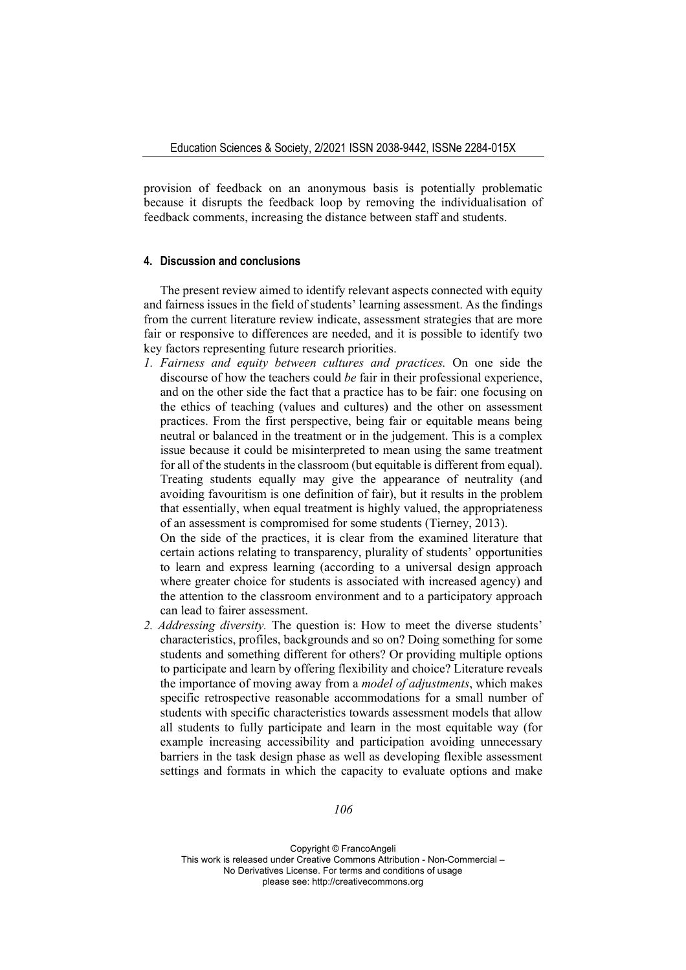provision of feedback on an anonymous basis is potentially problematic because it disrupts the feedback loop by removing the individualisation of feedback comments, increasing the distance between staff and students.

## **4. Discussion and conclusions**

The present review aimed to identify relevant aspects connected with equity and fairness issues in the field of students' learning assessment. As the findings from the current literature review indicate, assessment strategies that are more fair or responsive to differences are needed, and it is possible to identify two key factors representing future research priorities.

*1. Fairness and equity between cultures and practices.* On one side the discourse of how the teachers could *be* fair in their professional experience, and on the other side the fact that a practice has to be fair: one focusing on the ethics of teaching (values and cultures) and the other on assessment practices. From the first perspective, being fair or equitable means being neutral or balanced in the treatment or in the judgement. This is a complex issue because it could be misinterpreted to mean using the same treatment for all of the students in the classroom (but equitable is different from equal). Treating students equally may give the appearance of neutrality (and avoiding favouritism is one definition of fair), but it results in the problem that essentially, when equal treatment is highly valued, the appropriateness of an assessment is compromised for some students (Tierney, 2013).

On the side of the practices, it is clear from the examined literature that certain actions relating to transparency, plurality of students' opportunities to learn and express learning (according to a universal design approach where greater choice for students is associated with increased agency) and the attention to the classroom environment and to a participatory approach can lead to fairer assessment.

*2. Addressing diversity.* The question is: How to meet the diverse students' characteristics, profiles, backgrounds and so on? Doing something for some students and something different for others? Or providing multiple options to participate and learn by offering flexibility and choice? Literature reveals the importance of moving away from a *model of adjustments*, which makes specific retrospective reasonable accommodations for a small number of students with specific characteristics towards assessment models that allow all students to fully participate and learn in the most equitable way (for example increasing accessibility and participation avoiding unnecessary barriers in the task design phase as well as developing flexible assessment settings and formats in which the capacity to evaluate options and make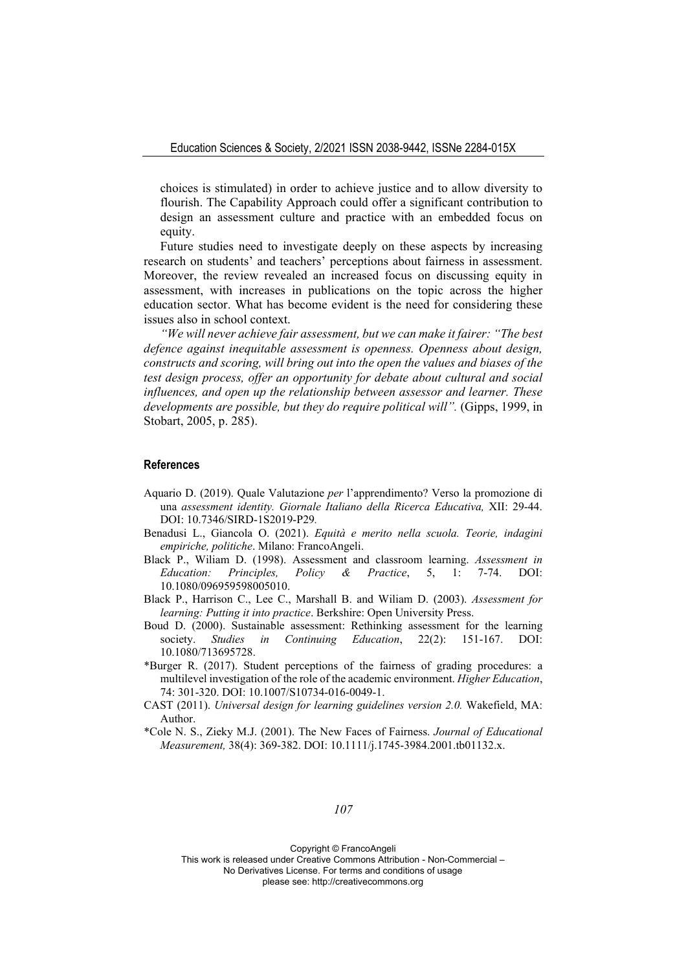choices is stimulated) in order to achieve justice and to allow diversity to flourish. The Capability Approach could offer a significant contribution to design an assessment culture and practice with an embedded focus on equity.

Future studies need to investigate deeply on these aspects by increasing research on students' and teachers' perceptions about fairness in assessment. Moreover, the review revealed an increased focus on discussing equity in assessment, with increases in publications on the topic across the higher education sector. What has become evident is the need for considering these issues also in school context.

*"We will never achieve fair assessment, but we can make it fairer: "The best defence against inequitable assessment is openness. Openness about design, constructs and scoring, will bring out into the open the values and biases of the test design process, offer an opportunity for debate about cultural and social influences, and open up the relationship between assessor and learner. These developments are possible, but they do require political will".* (Gipps, 1999, in Stobart, 2005, p. 285).

#### **References**

- Aquario D. (2019). Quale Valutazione *per* l'apprendimento? Verso la promozione di una *assessment identity. Giornale Italiano della Ricerca Educativa,* XII: 29-44. DOI: 10.7346/SIRD-1S2019-P29*.*
- Benadusi L., Giancola O. (2021). *Equità e merito nella scuola. Teorie, indagini empiriche, politiche*. Milano: FrancoAngeli.
- Black P., Wiliam D. (1998). Assessment and classroom learning. *Assessment in Education: Principles, Policy & Practice*, 5, 1: 7-74. DOI: 10.1080/096959598005010.
- Black P., Harrison C., Lee C., Marshall B. and Wiliam D. (2003). *Assessment for learning: Putting it into practice*. Berkshire: Open University Press.
- Boud D. (2000). Sustainable assessment: Rethinking assessment for the learning society. *Studies in Continuing Education*, 22(2): 151-167. DOI: 10.1080/713695728.
- \*Burger R. (2017). Student perceptions of the fairness of grading procedures: a multilevel investigation of the role of the academic environment. *Higher Education*, 74: 301-320. DOI: 10.1007/S10734-016-0049-1.
- CAST (2011). *Universal design for learning guidelines version 2.0.* Wakefield, MA: Author.
- \*Cole N. S., Zieky M.J. (2001). The New Faces of Fairness. *Journal of Educational Measurement,* 38(4): 369-382. DOI: 10.1111/j.1745-3984.2001.tb01132.x.

*107*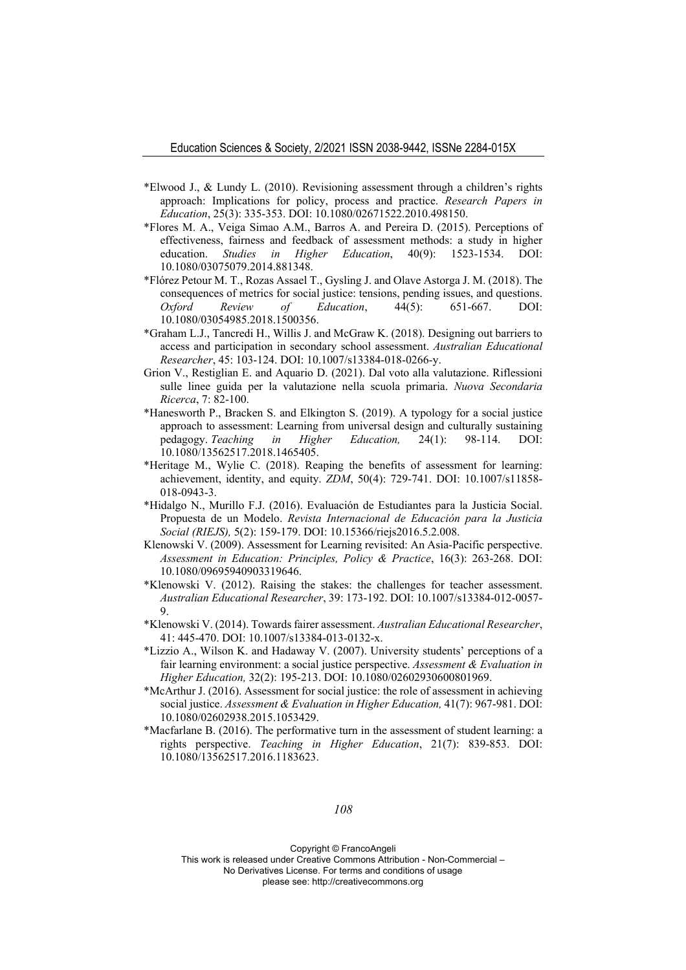- \*Elwood J., & Lundy L. (2010). Revisioning assessment through a children's rights approach: Implications for policy, process and practice. *Research Papers in Education*, 25(3): 335-353. DOI: 10.1080/02671522.2010.498150.
- \*Flores M. A., Veiga Simao A.M., Barros A. and Pereira D. (2015). Perceptions of effectiveness, fairness and feedback of assessment methods: a study in higher education. *Studies in Higher Education*, 40(9): 1523-1534. DOI: 10.1080/03075079.2014.881348.
- \*Flórez Petour M. T., Rozas Assael T., Gysling J. and Olave Astorga J. M. (2018). The consequences of metrics for social justice: tensions, pending issues, and questions. *Oxford Review of Education*, 44(5): 651-667. DOI: 10.1080/03054985.2018.1500356.
- \*Graham L.J., Tancredi H., Willis J. and McGraw K. (2018). Designing out barriers to access and participation in secondary school assessment. *Australian Educational Researcher*, 45: 103-124. DOI: 10.1007/s13384-018-0266-y.
- Grion V., Restiglian E. and Aquario D. (2021). Dal voto alla valutazione. Riflessioni sulle linee guida per la valutazione nella scuola primaria. *Nuova Secondaria Ricerca*, 7: 82-100.
- \*Hanesworth P., Bracken S. and Elkington S. (2019). A typology for a social justice approach to assessment: Learning from universal design and culturally sustaining pedagogy. *Teaching in Higher Education,* 24(1): 98-114. DOI: 10.1080/13562517.2018.1465405.
- \*Heritage M., Wylie C. (2018). Reaping the benefits of assessment for learning: achievement, identity, and equity. *ZDM*, 50(4): 729-741. DOI: 10.1007/s11858- 018-0943-3.
- \*Hidalgo N., Murillo F.J. (2016). Evaluación de Estudiantes para la Justicia Social. Propuesta de un Modelo. *Revista Internacional de Educación para la Justicia Social (RIEJS),* 5(2): 159-179. DOI: 10.15366/riejs2016.5.2.008.
- Klenowski V. (2009). Assessment for Learning revisited: An Asia-Pacific perspective. *Assessment in Education: Principles, Policy & Practice*, 16(3): 263-268. DOI: 10.1080/09695940903319646.
- \*Klenowski V. (2012). Raising the stakes: the challenges for teacher assessment. *Australian Educational Researcher*, 39: 173-192. DOI: 10.1007/s13384-012-0057- 9.
- \*Klenowski V. (2014). Towards fairer assessment. *Australian Educational Researcher*, 41: 445-470. DOI: 10.1007/s13384-013-0132-x.
- \*Lizzio A., Wilson K. and Hadaway V. (2007). University students' perceptions of a fair learning environment: a social justice perspective. *Assessment & Evaluation in Higher Education,* 32(2): 195-213. DOI: 10.1080/02602930600801969.
- \*McArthur J. (2016). Assessment for social justice: the role of assessment in achieving social justice. *Assessment & Evaluation in Higher Education,* 41(7): 967-981. DOI: 10.1080/02602938.2015.1053429.
- \*Macfarlane B. (2016). The performative turn in the assessment of student learning: a rights perspective. *Teaching in Higher Education*, 21(7): 839-853. DOI: 10.1080/13562517.2016.1183623.

*108*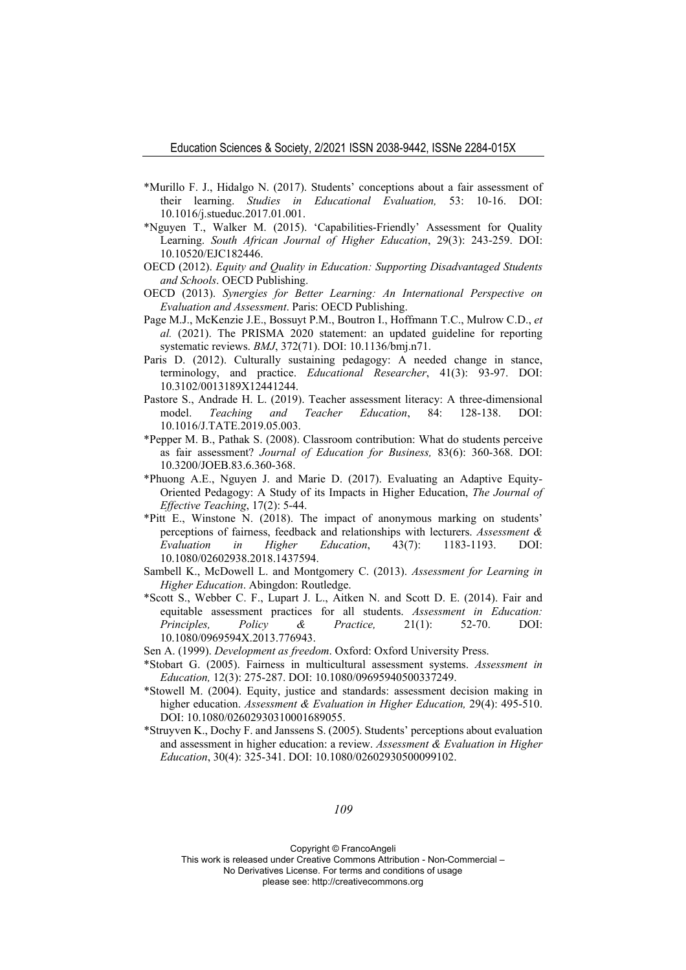- \*Murillo F. J., Hidalgo N. (2017). Students' conceptions about a fair assessment of their learning. *Studies in Educational Evaluation,* 53: 10-16. DOI: 10.1016/j.stueduc.2017.01.001.
- \*Nguyen T., Walker M. (2015). 'Capabilities-Friendly' Assessment for Quality Learning. *South African Journal of Higher Education*, 29(3): 243-259. DOI: 10.10520/EJC182446.
- OECD (2012). *Equity and Quality in Education: Supporting Disadvantaged Students and Schools*. OECD Publishing.
- OECD (2013). *Synergies for Better Learning: An International Perspective on Evaluation and Assessment*. Paris: OECD Publishing.
- Page M.J., McKenzie J.E., Bossuyt P.M., Boutron I., Hoffmann T.C., Mulrow C.D., *et al.* (2021). The PRISMA 2020 statement: an updated guideline for reporting systematic reviews. *BMJ*, 372(71). DOI: 10.1136/bmj.n71.
- Paris D. (2012). Culturally sustaining pedagogy: A needed change in stance, terminology, and practice. *Educational Researcher*, 41(3): 93-97. DOI: 10.3102/0013189X12441244.
- Pastore S., Andrade H. L. (2019). Teacher assessment literacy: A three-dimensional model. *Teaching and Teacher Education*, 84: 128-138. DOI: 10.1016/J.TATE.2019.05.003.
- \*Pepper M. B., Pathak S. (2008). Classroom contribution: What do students perceive as fair assessment? *Journal of Education for Business,* 83(6): 360-368. DOI: 10.3200/JOEB.83.6.360-368.
- \*Phuong A.E., Nguyen J. and Marie D. (2017). Evaluating an Adaptive Equity-Oriented Pedagogy: A Study of its Impacts in Higher Education, *The Journal of Effective Teaching*, 17(2): 5-44.
- \*Pitt E., Winstone N. (2018). The impact of anonymous marking on students' perceptions of fairness, feedback and relationships with lecturers. *Assessment & Evaluation in Higher Education*, 43(7): 1183-1193. DOI: 10.1080/02602938.2018.1437594.
- Sambell K., McDowell L. and Montgomery C. (2013). *Assessment for Learning in Higher Education*. Abingdon: Routledge.
- \*Scott S., Webber C. F., Lupart J. L., Aitken N. and Scott D. E. (2014). Fair and equitable assessment practices for all students. *Assessment in Education: Principles, Policy & Practice,* 21(1): 52-70. DOI: 10.1080/0969594X.2013.776943.

Sen A. (1999). *Development as freedom*. Oxford: Oxford University Press.

- \*Stobart G. (2005). Fairness in multicultural assessment systems. *Assessment in Education,* 12(3): 275-287. DOI: 10.1080/09695940500337249.
- \*Stowell M. (2004). Equity, justice and standards: assessment decision making in higher education. *Assessment & Evaluation in Higher Education,* 29(4): 495-510. DOI: 10.1080/02602930310001689055.
- \*Struyven K., Dochy F. and Janssens S. (2005). Students' perceptions about evaluation and assessment in higher education: a review. *Assessment & Evaluation in Higher Education*, 30(4): 325-341. DOI: 10.1080/02602930500099102.

*109* 

Copyright © FrancoAngeli

This work is released under Creative Commons Attribution - Non-Commercial – No Derivatives License. For terms and conditions of usage

please see: http://creativecommons.org